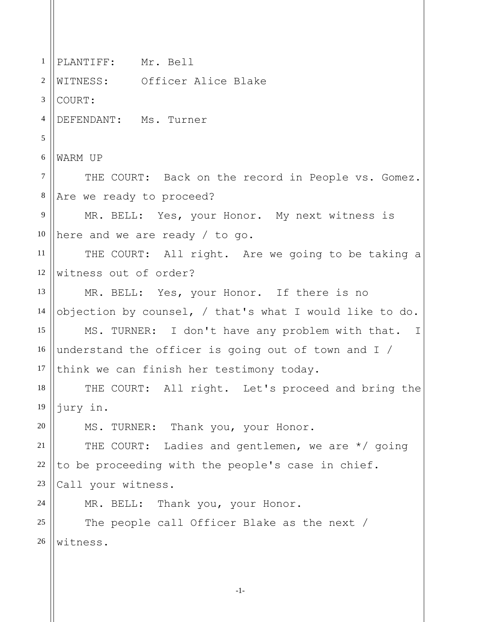1 2 3 4 5 6 7 8 9 10 11 12 13 14 15 16 17 18 19 20 21 22 23 24 25 26 PLANTIFF: Mr. Bell WITNESS: Officer Alice Blake COURT: DEFENDANT: Ms. Turner WARM UP THE COURT: Back on the record in People vs. Gomez. Are we ready to proceed? MR. BELL: Yes, your Honor. My next witness is here and we are ready / to go. THE COURT: All right. Are we going to be taking a witness out of order? MR. BELL: Yes, your Honor. If there is no objection by counsel, / that's what I would like to do. MS. TURNER: I don't have any problem with that. I understand the officer is going out of town and I / think we can finish her testimony today. THE COURT: All right. Let's proceed and bring the jury in. MS. TURNER: Thank you, your Honor. THE COURT: Ladies and gentlemen, we are \*/ going to be proceeding with the people's case in chief. Call your witness. MR. BELL: Thank you, your Honor. The people call Officer Blake as the next / witness.

-1-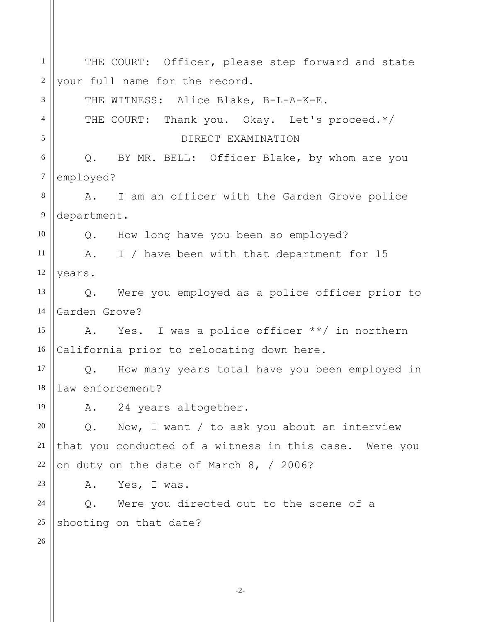1 2 3 4 5 6 7 8 9 10 11 12 13 14 15 16 17 18 19 20 21 22 23 24 25 26 THE COURT: Officer, please step forward and state your full name for the record. THE WITNESS: Alice Blake, B-L-A-K-E. THE COURT: Thank you. Okay. Let's proceed.\*/ DIRECT EXAMINATION Q. BY MR. BELL: Officer Blake, by whom are you employed? A. I am an officer with the Garden Grove police department. Q. How long have you been so employed? A. I / have been with that department for 15 years. Q. Were you employed as a police officer prior to Garden Grove? A. Yes. I was a police officer \*\*/ in northern California prior to relocating down here. Q. How many years total have you been employed in law enforcement? A. 24 years altogether. Q. Now, I want / to ask you about an interview that you conducted of a witness in this case. Were you on duty on the date of March 8, / 2006? A. Yes, I was. Q. Were you directed out to the scene of a shooting on that date?

-2-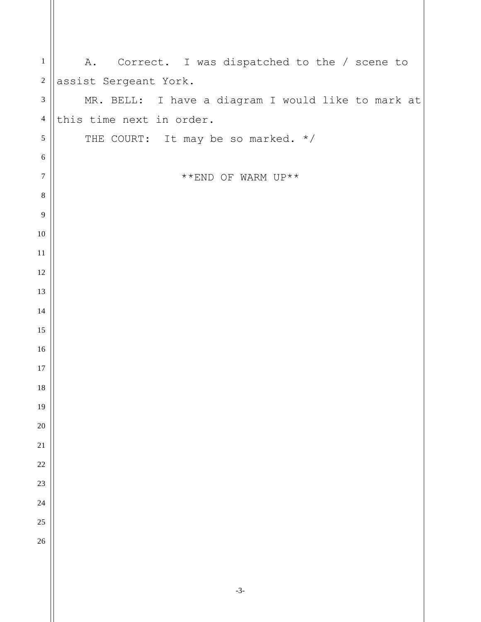| $\,1$            | Correct. I was dispatched to the / scene to<br>A.  |
|------------------|----------------------------------------------------|
| $\sqrt{2}$       | assist Sergeant York.                              |
| $\mathfrak{Z}$   | MR. BELL: I have a diagram I would like to mark at |
| $\overline{4}$   | this time next in order.                           |
| $\mathfrak{S}$   | THE COURT: It may be so marked. */                 |
| $\sqrt{6}$       |                                                    |
| $\boldsymbol{7}$ | $^{\star\;\star}$ END OF WARM UP $^{\star\;\star}$ |
| $8\,$            |                                                    |
| 9                |                                                    |
| $10\,$           |                                                    |
| $11\,$           |                                                    |
| 12               |                                                    |
| 13               |                                                    |
| $14\,$           |                                                    |
| 15               |                                                    |
| $16\,$           |                                                    |
| 17               |                                                    |
| 18               |                                                    |
| 19               |                                                    |
| $20\,$           |                                                    |
| $21\,$           |                                                    |
| $22\,$           |                                                    |
| $23\,$           |                                                    |
| 24<br>25         |                                                    |
| 26               |                                                    |
|                  |                                                    |
|                  |                                                    |
|                  |                                                    |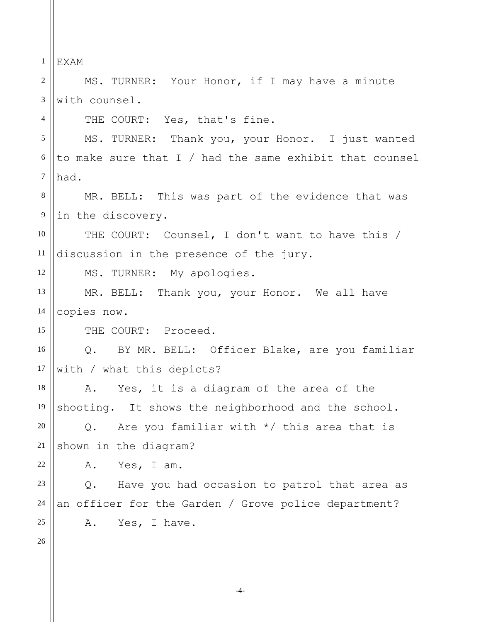1 2 3 4 5 6 7 8 9 10 11 12 13 14 15 16 17 18 19 20 21 22 23 24 25 26 EXAM MS. TURNER: Your Honor, if I may have a minute with counsel. THE COURT: Yes, that's fine. MS. TURNER: Thank you, your Honor. I just wanted to make sure that I / had the same exhibit that counsel had. MR. BELL: This was part of the evidence that was in the discovery. THE COURT: Counsel, I don't want to have this / discussion in the presence of the jury. MS. TURNER: My apologies. MR. BELL: Thank you, your Honor. We all have copies now. THE COURT: Proceed. Q. BY MR. BELL: Officer Blake, are you familiar with / what this depicts? A. Yes, it is a diagram of the area of the shooting. It shows the neighborhood and the school. Q. Are you familiar with \*/ this area that is shown in the diagram? A. Yes, I am. Q. Have you had occasion to patrol that area as an officer for the Garden / Grove police department? A. Yes, I have.

-4-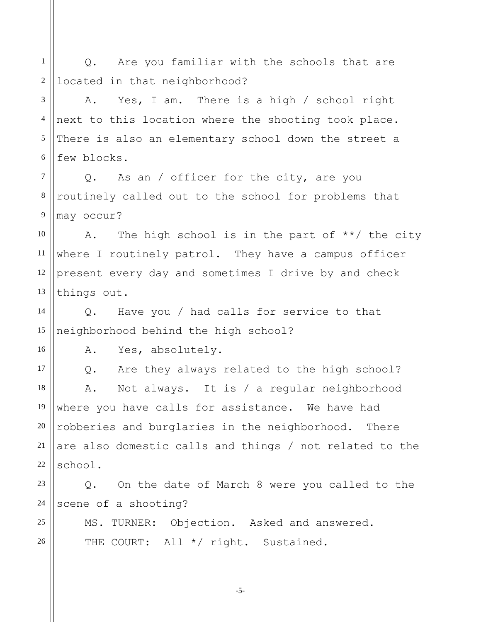1 2 Q. Are you familiar with the schools that are located in that neighborhood?

3 4 5 6 A. Yes, I am. There is a high / school right next to this location where the shooting took place. There is also an elementary school down the street a few blocks.

7 8 9 Q. As an / officer for the city, are you routinely called out to the school for problems that may occur?

10 11 12 13 A. The high school is in the part of  $**/$  the city where I routinely patrol. They have a campus officer present every day and sometimes I drive by and check things out.

14 15 Q. Have you / had calls for service to that neighborhood behind the high school?

A. Yes, absolutely.

16

25

26

17 18 19 20 21 22 Q. Are they always related to the high school? A. Not always. It is / a regular neighborhood where you have calls for assistance. We have had robberies and burglaries in the neighborhood. There are also domestic calls and things / not related to the school.

23 24 Q. On the date of March 8 were you called to the scene of a shooting?

MS. TURNER: Objection. Asked and answered. THE COURT: All \*/ right. Sustained.

-5-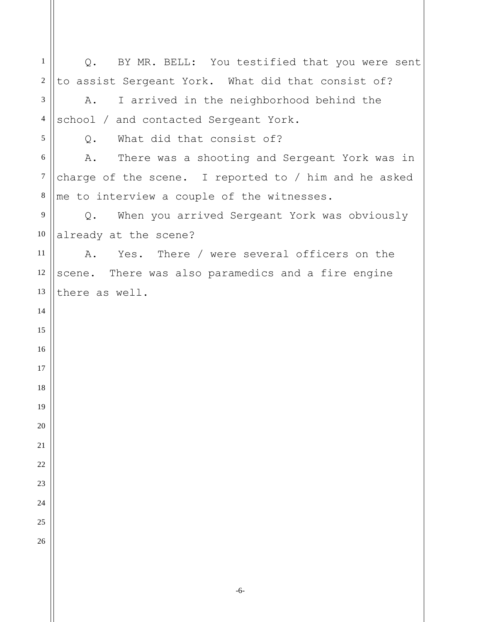| $\mathbf{1}$   | BY MR. BELL: You testified that you were sent<br>Q.           |
|----------------|---------------------------------------------------------------|
| $\sqrt{2}$     | to assist Sergeant York. What did that consist of?            |
| 3              | I arrived in the neighborhood behind the<br>Α.                |
| $\overline{4}$ | school / and contacted Sergeant York.                         |
| 5              | What did that consist of?<br>Q.                               |
| $6\,$          | There was a shooting and Sergeant York was in<br>A.           |
| $\tau$         | charge of the scene. I reported to $/$ him and he asked       |
| $\,8\,$        | me to interview a couple of the witnesses.                    |
| 9              | When you arrived Sergeant York was obviously<br>$Q_{\bullet}$ |
| 10             | already at the scene?                                         |
| 11             | Yes. There / were several officers on the<br>Α.               |
| 12             | scene. There was also paramedics and a fire engine            |
| 13             | there as well.                                                |
| 14             |                                                               |
| 15             |                                                               |
| 16             |                                                               |
| 17             |                                                               |
| 18             |                                                               |
| 19             |                                                               |
| 20             |                                                               |
| 21             |                                                               |
| 22             |                                                               |
| 23             |                                                               |
| 24             |                                                               |
| 25             |                                                               |
| 26             |                                                               |
|                |                                                               |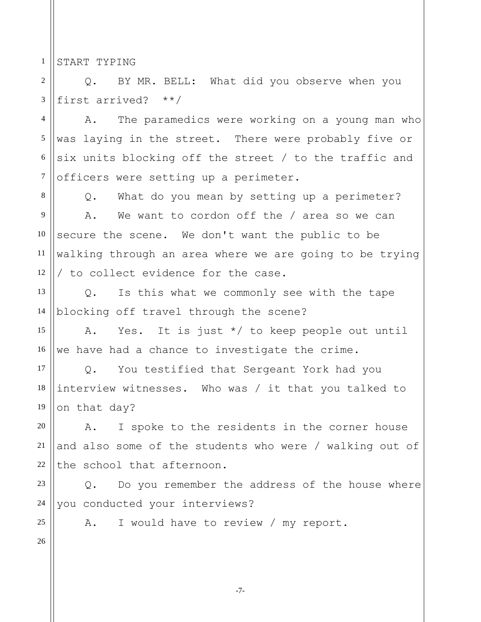1 START TYPING

3

8

2 Q. BY MR. BELL: What did you observe when you first arrived? \*\*/

4 5 6 7 A. The paramedics were working on a young man who was laying in the street. There were probably five or six units blocking off the street / to the traffic and officers were setting up a perimeter.

Q. What do you mean by setting up a perimeter?

9 10 11 12 A. We want to cordon off the / area so we can secure the scene. We don't want the public to be walking through an area where we are going to be trying / to collect evidence for the case.

13 14 Q. Is this what we commonly see with the tape blocking off travel through the scene?

15 16 A. Yes. It is just \*/ to keep people out until we have had a chance to investigate the crime.

17 18 19 Q. You testified that Sergeant York had you interview witnesses. Who was / it that you talked to on that day?

A. I spoke to the residents in the corner house and also some of the students who were / walking out of the school that afternoon.

23 24 Q. Do you remember the address of the house where you conducted your interviews?

25 26

20

21

22

A. I would have to review / my report.

-7-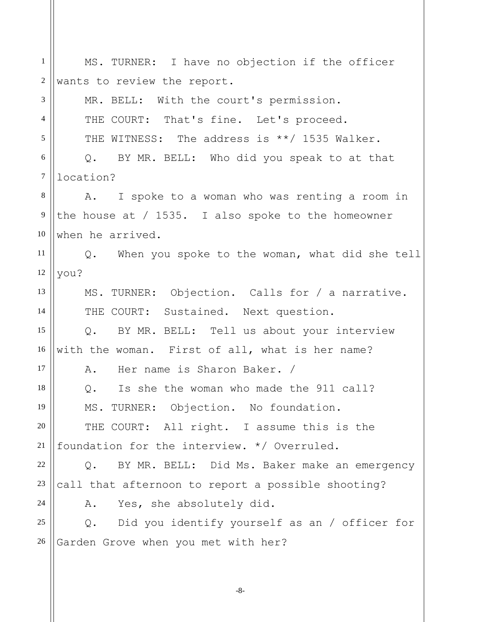| $\mathbf{1}$     | MS. TURNER: I have no objection if the officer                 |
|------------------|----------------------------------------------------------------|
| $\boldsymbol{2}$ | wants to review the report.                                    |
| 3                | MR. BELL: With the court's permission.                         |
| $\overline{4}$   | THE COURT: That's fine. Let's proceed.                         |
| 5                | THE WITNESS: The address is **/ 1535 Walker.                   |
| 6                | Q. BY MR. BELL: Who did you speak to at that                   |
| $\tau$           | location?                                                      |
| $8\,$            | A. I spoke to a woman who was renting a room in                |
| 9                | the house at $/$ 1535. I also spoke to the homeowner           |
| 10               | when he arrived.                                               |
| 11               | Q. When you spoke to the woman, what did she tell              |
| 12               | you?                                                           |
| 13               | MS. TURNER: Objection. Calls for / a narrative.                |
| 14               | THE COURT: Sustained. Next question.                           |
| 15               | Q. BY MR. BELL: Tell us about your interview                   |
| 16               | with the woman. First of all, what is her name?                |
| 17               | Her name is Sharon Baker. /<br>Α.                              |
| 18               | Is she the woman who made the 911 call?<br>Q.                  |
| 19               | MS. TURNER: Objection. No foundation.                          |
| 20               | THE COURT: All right. I assume this is the                     |
| 21               | foundation for the interview. */ Overruled.                    |
| 22               | BY MR. BELL: Did Ms. Baker make an emergency<br>$Q$ .          |
| 23               | call that afternoon to report a possible shooting?             |
| 24               | A. Yes, she absolutely did.                                    |
| 25               | Did you identify yourself as an / officer for<br>$Q_{\bullet}$ |
| 26               | Garden Grove when you met with her?                            |
|                  |                                                                |

-8-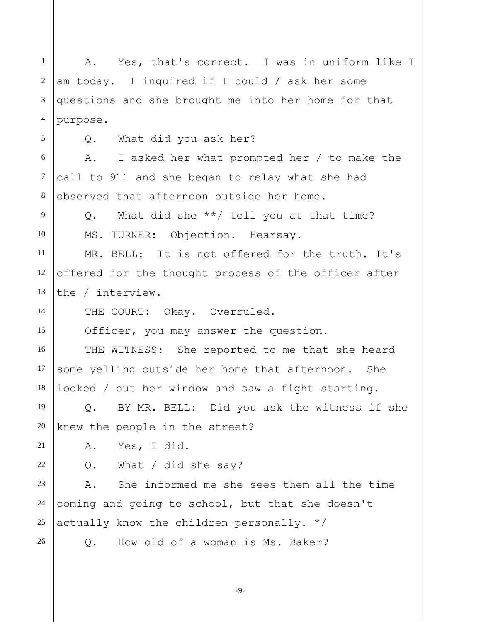1 2 3 4 5 6 7 8 9 10 11 12 13 14 15 16 17 18 19 20 21 22 23 24 25 26 A. Yes, that's correct. I was in uniform like I am today. I inquired if I could / ask her some questions and she brought me into her home for that purpose. Q. What did you ask her? A. I asked her what prompted her / to make the call to 911 and she began to relay what she had observed that afternoon outside her home. Q. What did she \*\*/ tell you at that time? MS. TURNER: Objection. Hearsay. MR. BELL: It is not offered for the truth. It's offered for the thought process of the officer after the / interview. THE COURT: Okay. Overruled. Officer, you may answer the question. THE WITNESS: She reported to me that she heard some yelling outside her home that afternoon. She looked / out her window and saw a fight starting. Q. BY MR. BELL: Did you ask the witness if she knew the people in the street? A. Yes, I did. Q. What / did she say? A. She informed me she sees them all the time coming and going to school, but that she doesn't actually know the children personally. \*/ Q. How old of a woman is Ms. Baker?

-9-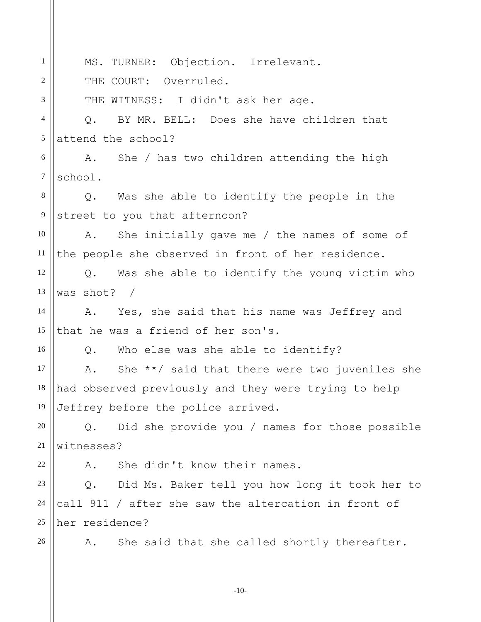1 2 3 4 5 6 7 8 9 10 11 12 13 14 15 16 17 18 19 20 21 22 23 24 25 26 MS. TURNER: Objection. Irrelevant. THE COURT: Overruled. THE WITNESS: I didn't ask her age. Q. BY MR. BELL: Does she have children that attend the school? A. She / has two children attending the high school. Q. Was she able to identify the people in the street to you that afternoon? A. She initially gave me / the names of some of the people she observed in front of her residence. Q. Was she able to identify the young victim who was shot? / A. Yes, she said that his name was Jeffrey and that he was a friend of her son's. Q. Who else was she able to identify? A. She \*\*/ said that there were two juveniles she had observed previously and they were trying to help Jeffrey before the police arrived. Q. Did she provide you / names for those possible witnesses? A. She didn't know their names. Q. Did Ms. Baker tell you how long it took her to call 911 / after she saw the altercation in front of her residence? A. She said that she called shortly thereafter.

-10-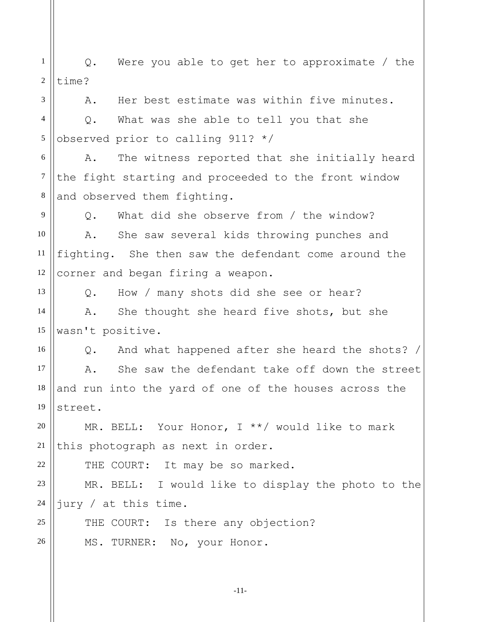1 2 3 4 5 6 7 8 9 10 11 12 13 14 15 16 17 18 19 20 21 22 23 24 25 26 Q. Were you able to get her to approximate / the time? A. Her best estimate was within five minutes. Q. What was she able to tell you that she observed prior to calling 911? \*/ A. The witness reported that she initially heard the fight starting and proceeded to the front window and observed them fighting. Q. What did she observe from / the window? A. She saw several kids throwing punches and fighting. She then saw the defendant come around the corner and began firing a weapon. Q. How / many shots did she see or hear? A. She thought she heard five shots, but she wasn't positive. Q. And what happened after she heard the shots? / A. She saw the defendant take off down the street and run into the yard of one of the houses across the street. MR. BELL: Your Honor, I \*\*/ would like to mark this photograph as next in order. THE COURT: It may be so marked. MR. BELL: I would like to display the photo to the jury / at this time. THE COURT: Is there any objection? MS. TURNER: No, your Honor.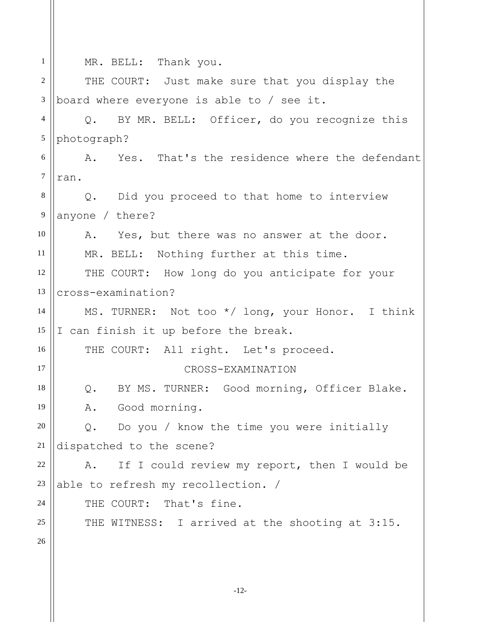1 2 3 4 5 6 7 8 9 10 11 12 13 14 15 16 17 18 19 20 21 22 23 24 25 26 MR. BELL: Thank you. THE COURT: Just make sure that you display the board where everyone is able to / see it. Q. BY MR. BELL: Officer, do you recognize this photograph? A. Yes. That's the residence where the defendant ran. Q. Did you proceed to that home to interview anyone / there? A. Yes, but there was no answer at the door. MR. BELL: Nothing further at this time. THE COURT: How long do you anticipate for your cross-examination? MS. TURNER: Not too \*/ long, your Honor. I think I can finish it up before the break. THE COURT: All right. Let's proceed. CROSS-EXAMINATION Q. BY MS. TURNER: Good morning, Officer Blake. A. Good morning. Q. Do you / know the time you were initially dispatched to the scene? A. If I could review my report, then I would be able to refresh my recollection. / THE COURT: That's fine. THE WITNESS: I arrived at the shooting at 3:15.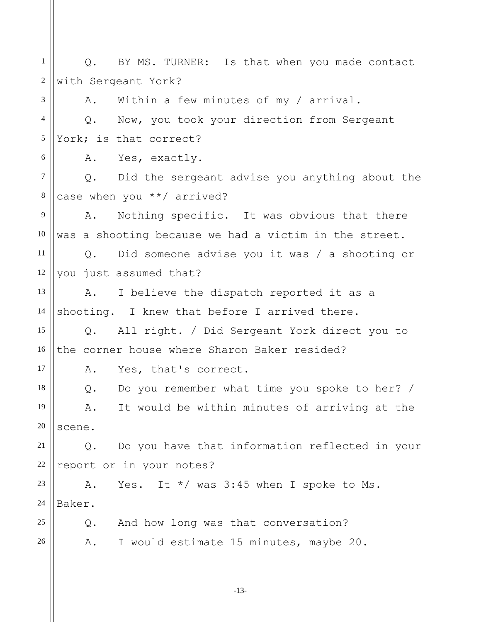1 2 3 4 5 6 7 8 9 10 11 12 13 14 15 16 17 18 19 20 21 22 23 24 25 26 Q. BY MS. TURNER: Is that when you made contact with Sergeant York? A. Within a few minutes of my / arrival. Q. Now, you took your direction from Sergeant York; is that correct? A. Yes, exactly. Q. Did the sergeant advise you anything about the case when you \*\*/ arrived? A. Nothing specific. It was obvious that there was a shooting because we had a victim in the street. Q. Did someone advise you it was / a shooting or you just assumed that? A. I believe the dispatch reported it as a shooting. I knew that before I arrived there. Q. All right. / Did Sergeant York direct you to the corner house where Sharon Baker resided? A. Yes, that's correct. Q. Do you remember what time you spoke to her? / A. It would be within minutes of arriving at the scene. Q. Do you have that information reflected in your report or in your notes? A. Yes. It  $*/$  was 3:45 when I spoke to Ms. Baker. Q. And how long was that conversation? A. I would estimate 15 minutes, maybe 20.

-13-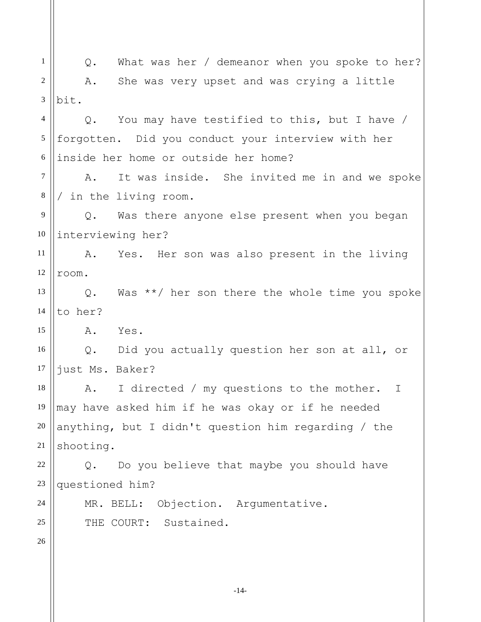1 2 3 4 5 6 7 8 9 10 11 12 13 14 15 16 17 18 19 20 21 22 23 24 25 26 Q. What was her / demeanor when you spoke to her? A. She was very upset and was crying a little bit. Q. You may have testified to this, but I have / forgotten. Did you conduct your interview with her inside her home or outside her home? A. It was inside. She invited me in and we spoke / in the living room. Q. Was there anyone else present when you began interviewing her? A. Yes. Her son was also present in the living room. Q. Was \*\*/ her son there the whole time you spoke to her? A. Yes. Q. Did you actually question her son at all, or just Ms. Baker? A. I directed / my questions to the mother. I may have asked him if he was okay or if he needed anything, but I didn't question him regarding / the shooting. Q. Do you believe that maybe you should have questioned him? MR. BELL: Objection. Argumentative. THE COURT: Sustained.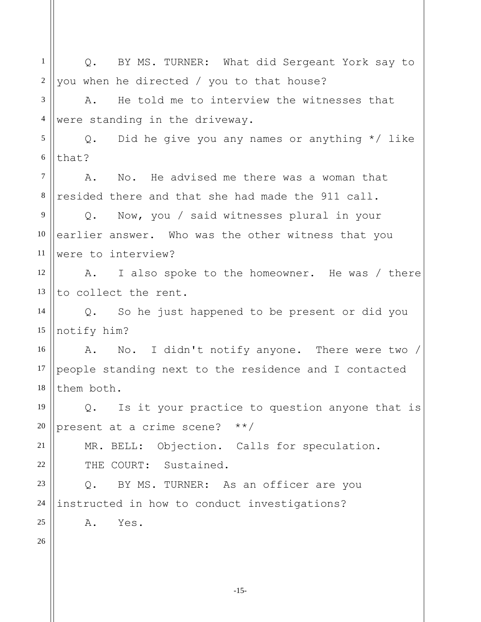| 1              | BY MS. TURNER: What did Sergeant York say to<br>Q.    |
|----------------|-------------------------------------------------------|
| $\sqrt{2}$     | you when he directed / you to that house?             |
| 3              | He told me to interview the witnesses that<br>Α.      |
| $\overline{4}$ | were standing in the driveway.                        |
| 5              | Did he give you any names or anything $*/$ like<br>Q. |
| $\sqrt{6}$     | that?                                                 |
| $\overline{7}$ | No. He advised me there was a woman that<br>Α.        |
| $\,8\,$        | resided there and that she had made the 911 call.     |
| 9              | Now, you / said witnesses plural in your<br>Q.        |
| 10             | earlier answer. Who was the other witness that you    |
| 11             | were to interview?                                    |
| 12             | I also spoke to the homeowner. He was / there<br>A.   |
| 13             | to collect the rent.                                  |
| 14             | Q. So he just happened to be present or did you       |
| 15             | notify him?                                           |
| 16             | A. No. I didn't notify anyone. There were two /       |
| 17             | people standing next to the residence and I contacted |
| 18             | them both.                                            |
| 19             | Is it your practice to question anyone that is<br>Q.  |
| 20             | present at a crime scene?<br>$\star \star /$          |
| 21             | MR. BELL: Objection. Calls for speculation.           |
| 22             | THE COURT: Sustained.                                 |
| 23             | BY MS. TURNER: As an officer are you<br>$Q$ .         |
| 24             | instructed in how to conduct investigations?          |
| 25             | Α.<br>Yes.                                            |
| 26             |                                                       |
|                |                                                       |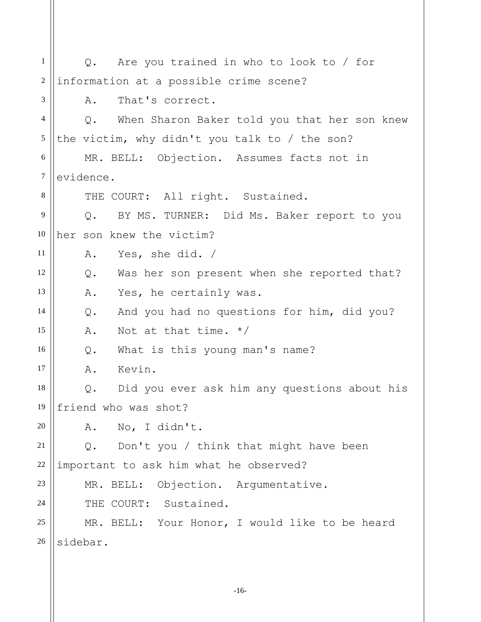| 1              | Q. Are you trained in who to look to / for                    |
|----------------|---------------------------------------------------------------|
| 2              | information at a possible crime scene?                        |
| 3              | That's correct.<br>Α.                                         |
| $\overline{4}$ | When Sharon Baker told you that her son knew<br>$Q_{\bullet}$ |
| 5              | the victim, why didn't you talk to $/$ the son?               |
| 6              | MR. BELL: Objection. Assumes facts not in                     |
| $\tau$         | evidence.                                                     |
| 8              | THE COURT: All right. Sustained.                              |
| 9              | Q. BY MS. TURNER: Did Ms. Baker report to you                 |
| 10             | her son knew the victim?                                      |
| 11             | A. Yes, she did. /                                            |
| 12             | Was her son present when she reported that?<br>$Q$ .          |
| 13             | Yes, he certainly was.<br>Α.                                  |
| 14             | And you had no questions for him, did you?<br>Q.              |
| 15             | Not at that time. $*/$<br>Α.                                  |
| 16             | What is this young man's name?<br>Q.                          |
| 17             | Kevin.<br>Α.                                                  |
| 18             | Did you ever ask him any questions about his<br>Q.            |
| 19             | friend who was shot?                                          |
| $20\,$         | No, I didn't.<br>Α.                                           |
| 21             | Don't you / think that might have been<br>Q.                  |
| 22             | important to ask him what he observed?                        |
| 23             | Objection. Argumentative.<br>MR. BELL:                        |
| 24             | THE COURT: Sustained.                                         |
| 25             | MR. BELL: Your Honor, I would like to be heard                |
| 26             | sidebar.                                                      |
|                |                                                               |

-16-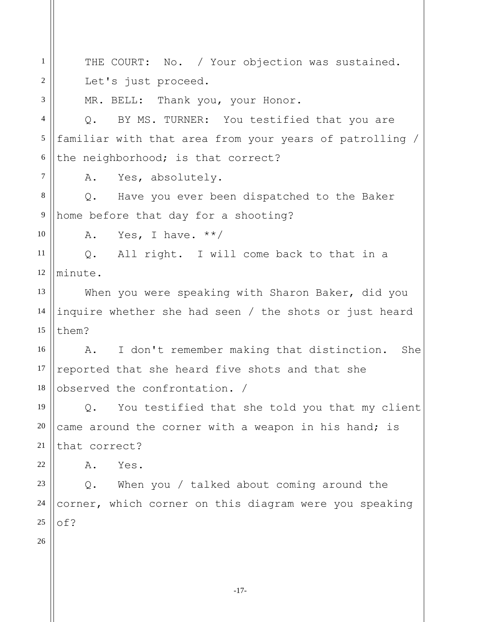-17- 1 2 3 4 5 6 7 8 9 10 11 12 13 14 15 16 17 18 19 20 21 22 23 24 25 26 THE COURT: No. / Your objection was sustained. Let's just proceed. MR. BELL: Thank you, your Honor. Q. BY MS. TURNER: You testified that you are familiar with that area from your years of patrolling / the neighborhood; is that correct? A. Yes, absolutely. Q. Have you ever been dispatched to the Baker home before that day for a shooting? A. Yes, I have.  $**/$ Q. All right. I will come back to that in a minute. When you were speaking with Sharon Baker, did you inquire whether she had seen / the shots or just heard them? A. I don't remember making that distinction. She reported that she heard five shots and that she observed the confrontation. / Q. You testified that she told you that my client came around the corner with a weapon in his hand; is that correct? A. Yes. Q. When you / talked about coming around the corner, which corner on this diagram were you speaking of?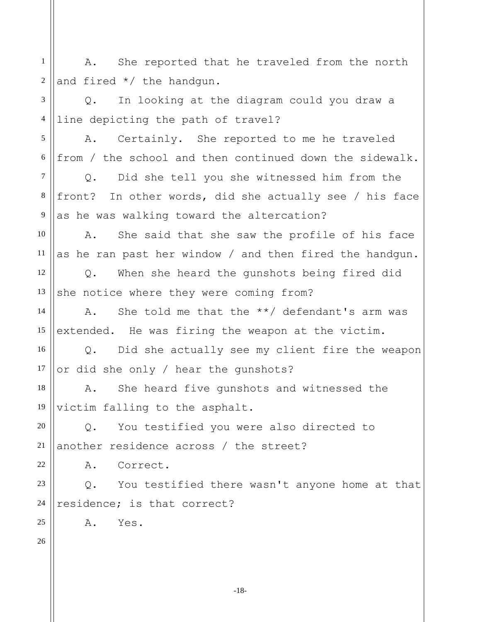1 2 A. She reported that he traveled from the north and fired \*/ the handgun.

3 4 Q. In looking at the diagram could you draw a line depicting the path of travel?

5 6 A. Certainly. She reported to me he traveled from / the school and then continued down the sidewalk.

7 8 9 Q. Did she tell you she witnessed him from the front? In other words, did she actually see / his face as he was walking toward the altercation?

10 11 A. She said that she saw the profile of his face as he ran past her window / and then fired the handgun.

12 13 Q. When she heard the gunshots being fired did she notice where they were coming from?

14 15 A. She told me that the \*\*/ defendant's arm was extended. He was firing the weapon at the victim.

16 17 Q. Did she actually see my client fire the weapon or did she only / hear the gunshots?

18 19 A. She heard five gunshots and witnessed the victim falling to the asphalt.

20 21 Q. You testified you were also directed to another residence across / the street?

A. Correct.

23 24 Q. You testified there wasn't anyone home at that residence; is that correct?

A. Yes.

26

25

22